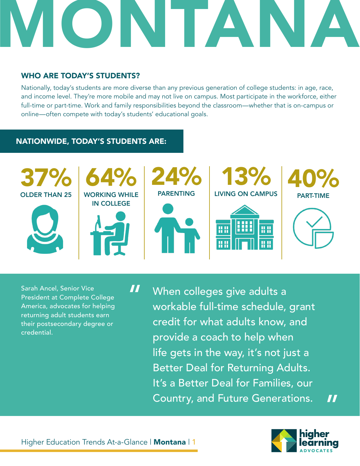

## WHO ARE TODAY'S STUDENTS?

Nationally, today's students are more diverse than any previous generation of college students: in age, race, and income level. They're more mobile and may not live on campus. Most participate in the workforce, either full-time or part-time. Work and family responsibilities beyond the classroom—whether that is on-campus or online—often compete with today's students' educational goals.

## NATIONWIDE, TODAY'S STUDENTS ARE:



Sarah Ancel, Senior Vice President at Complete College America, advocates for helping returning adult students earn their postsecondary degree or credential.

When colleges give adults a workable full-time schedule, grant credit for what adults know, and provide a coach to help when life gets in the way, it's not just a Better Deal for Returning Adults. It's a Better Deal for Families, our Country, and Future Generations.



"

"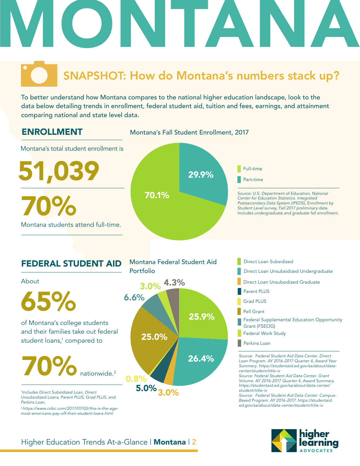

# SNAPSHOT: How do Montana's numbers stack up?

To better understand how Montana compares to the national higher education landscape, look to the data below detailing trends in enrollment, federal student aid, tuition and fees, earnings, and attainment comparing national and state level data.



**Perkins Loan** 

*Source: Federal Student Aid Data Center. Direct Loan Program. AY 2016-2017 Quarter 4, Award Year Summary. https://studentaid.ed.gov/sa/about/datacenter/student/title-iv Source: Federal Student Aid Data Center. Grant* 

*Volume. AY 2016-2017 Quarter 4, Award Summary. https://studentaid.ed.gov/sa/about/data-center/ student/title-iv*

*Source: Federal Student Aid Data Center. Campus-Based Program. AY 2016-2017. https://studentaid. ed.gov/sa/about/data-center/student/title-iv*



# 70% nationwide. 2

*1 Includes Direct Subsidized Loan, Direct Unsubsidized Loans, Parent PLUS, Grad PLUS, and Perkins Loan.* 

student loans,<sup>1</sup> compared to

*2 https://www.cnbc.com/2017/07/03/this-is-the-agemost-americans-pay-off-their-student-loans.html*



3.0% 5.0%

Higher Education Trends At-a-Glance | Montana | 2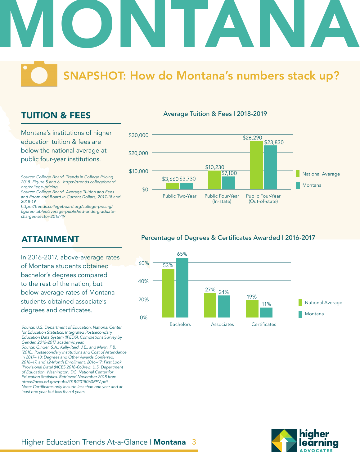

# SNAPSHOT: How do Montana's numbers stack up?

## TUITION & FEES

Montana's institutions of higher education tuition & fees are below the national average at public four-year institutions.

*Source: College Board. Trends in College Pricing 2018. Figure 5 and 6. https://trends.collegeboard. org/college-pricing*

*Source: College Board. Average Tuition and Fees and Room and Board in Current Dollars, 2017-18 and 2018-19.*

*https://trends.collegeboard.org/college-pricing/* figures-tables/average-published-undergraduate*charges-sector-2018-19*

## ATTAINMENT

In 2016-2017, above-average rates of Montana students obtained bachelor's degrees compared to the rest of the nation, but below-average rates of Montana students obtained associate's degrees and certificates.

*Source: U.S. Department of Education, National Center for Education Statistics. Integrated Postsecondary Education Data System (IPEDS), Completions Survey by Gender, 2016-2017 academic year. Source: Ginder, S.A., Kelly-Reid, J.E., and Mann, F.B. (2018). Postsecondary Institutions and Cost of Attendance in 2017– 18; Degrees and Other Awards Conferred, 2016–17; and 12-Month Enrollment, 2016–17: First Look (Provisional Data) (NCES 2018-060rev). U.S. Department of Education. Washington, DC: National Center for Education Statistics. Retrieved November 2018 from https://nces.ed.gov/pubs2018/2018060REV.pdf*

Note: Certificates only include less than one year and at *least one year but less than 4 years.* 

#### Average Tuition & Fees | 2018-2019



#### Percentage of Degrees & Certificates Awarded | 2016-2017



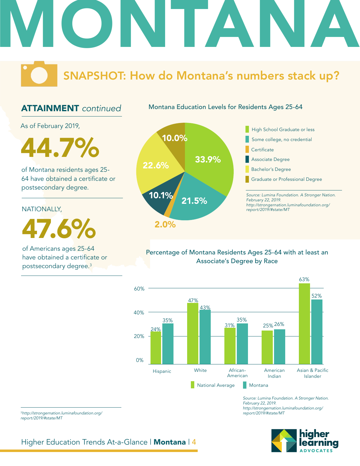

# SNAPSHOT: How do Montana's numbers stack up?

## ATTAINMENT *continued*

Montana Education Levels for Residents Ages 25-64

As of February 2019,

10.0% 4.7%

of Montana residents ages 25- 64 have obtained a certificate or postsecondary degree.

NATIONALLY,

47.6%

of Americans ages 25-64 have obtained a certificate or postsecondary degree.3



Percentage of Montana Residents Ages 25-64 with at least an Associate's Degree by Race



*Source: Lumina Foundation. A Stronger Nation. February 22, 2019. http://strongernation.luminafoundation.org/ report/2019/#state/MT*



<sup>3</sup>*http://strongernation.luminafoundation.org/ report/2019/#state/MT*

Higher Education Trends At-a-Glance | Montana | 4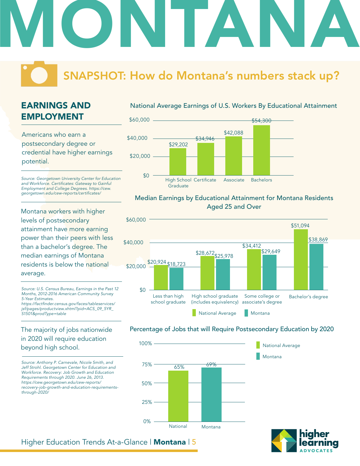# MONTANA

# SNAPSHOT: How do Montana's numbers stack up?

## EARNINGS AND EMPLOYMENT

Americans who earn a postsecondary degree or credential have higher earnings potential.

*Source: Georgetown University Center for Education*  and Workforce. Certificates: Gateway to Gainful *Employment and College Degrees. https://cew.* georgetown.edu/cew-reports/certificates/

Montana workers with higher levels of postsecondary attainment have more earning power than their peers with less than a bachelor's degree. The median earnings of Montana residents is below the national average.

*Source: U.S. Census Bureau, Earnings in the Past 12 Months, 2012-2016 American Community Survey 5-Year Estimates.* https://factfinder.census.gov/faces/tableservices/

*jsf/pages/productview.xhtml?pid=ACS\_09\_5YR\_ S1501&prodType=table*

## The majority of jobs nationwide in 2020 will require education beyond high school.

*Source: Anthony P. Carnevale, Nicole Smith, and Jeff Strohl. Georgetown Center for Education and Workforce. Recovery: Job Growth and Education Requirements through 2020. June 26, 2013. https://cew.georgetown.edu/cew-reports/ recovery-job-growth-and-education-requirementsthrough-2020/*

## National Average Earnings of U.S. Workers By Educational Attainment



#### Median Earnings by Educational Attainment for Montana Residents Aged 25 and Over



#### Percentage of Jobs that will Require Postsecondary Education by 2020





Higher Education Trends At-a-Glance | Montana | 5